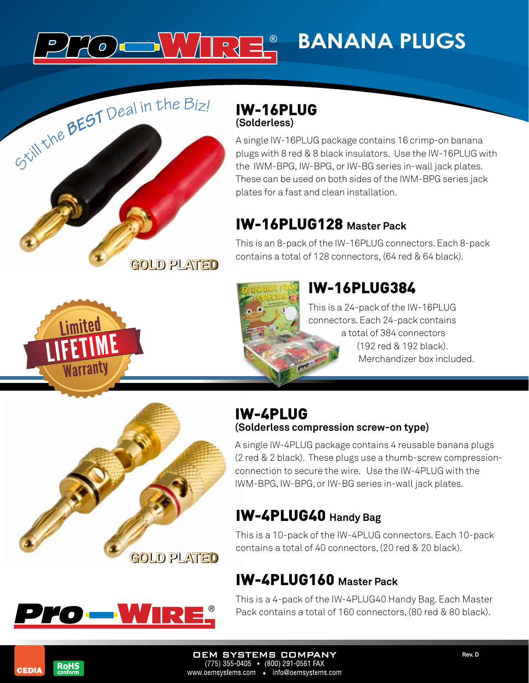

#### IW-16PLUG **(Solderless)**

A single IW-16PLUG package contains 16 crimp-on banana plugs with 8 red & 8 black insulators. Use the IW-16PLUG with the IWM-BPG, IW-BPG, or IW-BG series in-wall jack plates. These can be used on both sides of the IWM-BPG series jack plates for a fast and clean installation.

#### IW-16PLUG128 **Master Pack**

This is an 8-pack of the IW-16PLUG connectors. Each 8-pack contains a total of 128 connectors, (64 red & 64 black).





## IW-16PLUG384

This is a 24-pack of the IW-16PLUG connectors. Each 24-pack contains a total of 384 connectors (192 red & 192 black). Merchandizer box included.



**GOLD PLATED** 

#### IW-4PLUG **(Solderless compression screw-on type)**

A single IW-4PLUG package contains 4 reusable banana plugs (2 red & 2 black). These plugs use a thumb-screw compressionconnection to secure the wire. Use the IW-4PLUG with the IWM-BPG, IW-BPG, or IW-BG series in-wall jack plates.

## IW-4PLUG40 **Handy Bag**

This is a 10-pack of the IW-4PLUG connectors. Each 10-pack contains a total of 40 connectors, (20 red & 20 black).

## IW-4PLUG160 **Master Pack**

This is a 4-pack of the IW-4PLUG40 Handy Bag. Each Master Pack contains a total of 160 connectors, (80 red & 80 black).